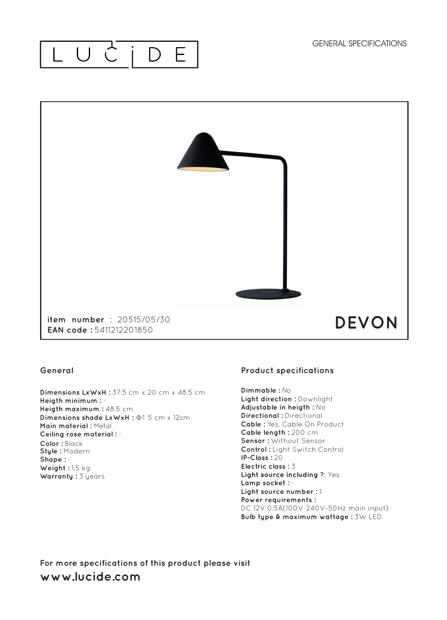#### LUC  $\Box$ E



### **General**

**Dimensions LxWxH : 37.5 cm x 20 cm x 48.5 cm Heigth minimum :** - **Heigth maximum : 48.5 cm Dimensions shade LxWxH :** Φ1 5 cm x 12cm **Main material :** Metal **Ceiling rose material :** - **Color :** Black **Style :** Modern **Shape :** - **Weight :** 1.5 kg **Warranty :** 3 years

## **Product specifications**

**Dimmable :** No **Light direction :** Downlight **Adjustable in heigth :** No **Directional :** Directional **Cable :** Yes, Cable On Product **Cable length :** 200 cm **Sensor :** Without Sensor **Control :** Light Switch Control **IP-Class :** 20 **Electric class :** 3 **Light source including ?: Yes Lamp socket :** - **Light source number :** 1 **Power requirements :** DC 12V 0.5A(100V-240V~50Hz main input) **Bulb type & maximum wattage :** 3W LED

**For more specifications of this product please visit www.lucide.com**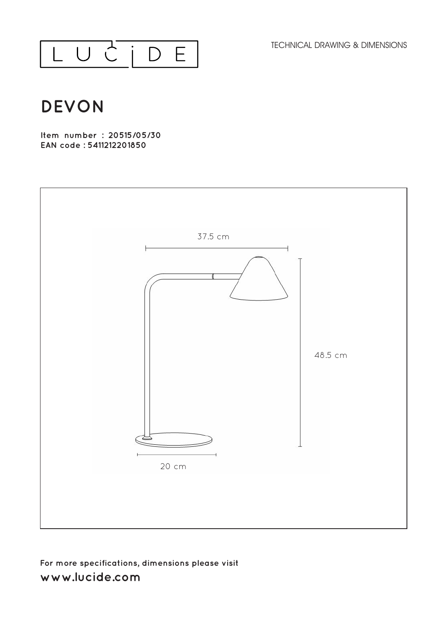TECHNICAL DRAWING & DIMENSIONS



# **DEVON**

**Item number : 20515/05/30 EAN code : 5411212201850**



# **For more specifications, dimensions please visit**  www.lucide.com